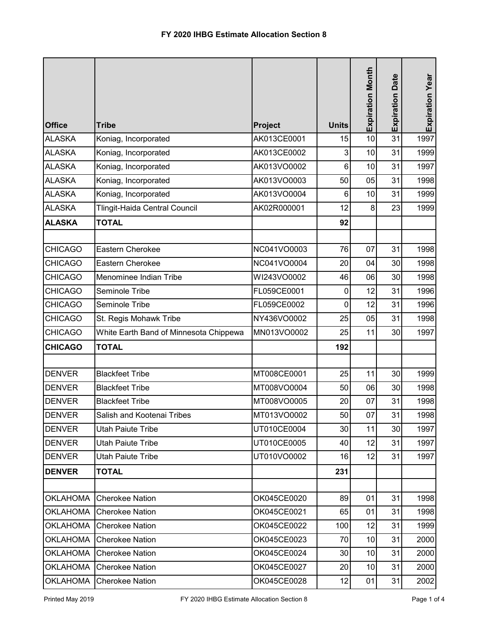| <b>Office</b>   | <b>Tribe</b>                           | <b>Project</b> | <b>Units</b> | <b>Expiration Month</b> | <b>Expiration Date</b> | Expiration Year |
|-----------------|----------------------------------------|----------------|--------------|-------------------------|------------------------|-----------------|
| <b>ALASKA</b>   | Koniag, Incorporated                   | AK013CE0001    | 15           | 10                      | 31                     | 1997            |
| <b>ALASKA</b>   | Koniag, Incorporated                   | AK013CE0002    | 3            | 10                      | 31                     | 1999            |
| <b>ALASKA</b>   | Koniag, Incorporated                   | AK013VO0002    | 6            | 10                      | 31                     | 1997            |
| <b>ALASKA</b>   | Koniag, Incorporated                   | AK013VO0003    | 50           | 05                      | 31                     | 1998            |
| <b>ALASKA</b>   | Koniag, Incorporated                   | AK013VO0004    | 6            | 10                      | 31                     | 1999            |
| <b>ALASKA</b>   | Tlingit-Haida Central Council          | AK02R000001    | 12           | 8                       | 23                     | 1999            |
| <b>ALASKA</b>   | <b>TOTAL</b>                           |                | 92           |                         |                        |                 |
|                 |                                        |                |              |                         |                        |                 |
| <b>CHICAGO</b>  | Eastern Cherokee                       | NC041VO0003    | 76           | 07                      | 31                     | 1998            |
| <b>CHICAGO</b>  | Eastern Cherokee                       | NC041VO0004    | 20           | 04                      | 30                     | 1998            |
| <b>CHICAGO</b>  | Menominee Indian Tribe                 | WI243VO0002    | 46           | 06                      | 30                     | 1998            |
| <b>CHICAGO</b>  | Seminole Tribe                         | FL059CE0001    | 0            | 12                      | 31                     | 1996            |
| <b>CHICAGO</b>  | Seminole Tribe                         | FL059CE0002    | 0            | 12                      | 31                     | 1996            |
| <b>CHICAGO</b>  | St. Regis Mohawk Tribe                 | NY436VO0002    | 25           | 05                      | 31                     | 1998            |
| <b>CHICAGO</b>  | White Earth Band of Minnesota Chippewa | MN013VO0002    | 25           | 11                      | 30                     | 1997            |
| <b>CHICAGO</b>  | <b>TOTAL</b>                           |                | 192          |                         |                        |                 |
|                 |                                        |                |              |                         |                        |                 |
| <b>DENVER</b>   | <b>Blackfeet Tribe</b>                 | MT008CE0001    | 25           | 11                      | 30                     | 1999            |
| <b>DENVER</b>   | <b>Blackfeet Tribe</b>                 | MT008VO0004    | 50           | 06                      | 30 <sup>°</sup>        | 1998            |
| <b>DENVER</b>   | <b>Blackfeet Tribe</b>                 | MT008VO0005    | 20           | 07                      | 31                     | 1998            |
| <b>DENVER</b>   | Salish and Kootenai Tribes             | MT013VO0002    | 50           | 07                      | 31                     | 1998            |
| <b>DENVER</b>   | <b>Utah Paiute Tribe</b>               | UT010CE0004    | 30           | 11                      | 30                     | 1997            |
| <b>DENVER</b>   | Utah Paiute Tribe                      | UT010CE0005    | 40           | 12                      | 31                     | 1997            |
| <b>DENVER</b>   | Utah Paiute Tribe                      | UT010VO0002    | 16           | 12                      | 31                     | 1997            |
| <b>DENVER</b>   | <b>TOTAL</b>                           |                | 231          |                         |                        |                 |
|                 |                                        |                |              |                         |                        |                 |
| <b>OKLAHOMA</b> | <b>Cherokee Nation</b>                 | OK045CE0020    | 89           | 01                      | 31                     | 1998            |
| <b>OKLAHOMA</b> | <b>Cherokee Nation</b>                 | OK045CE0021    | 65           | 01                      | 31                     | 1998            |
| <b>OKLAHOMA</b> | <b>Cherokee Nation</b>                 | OK045CE0022    | 100          | 12                      | 31                     | 1999            |
| <b>OKLAHOMA</b> | <b>Cherokee Nation</b>                 | OK045CE0023    | 70           | 10                      | 31                     | 2000            |
| <b>OKLAHOMA</b> | <b>Cherokee Nation</b>                 | OK045CE0024    | 30           | 10                      | 31                     | 2000            |
| <b>OKLAHOMA</b> | <b>Cherokee Nation</b>                 | OK045CE0027    | 20           | 10                      | 31                     | 2000            |
| <b>OKLAHOMA</b> | <b>Cherokee Nation</b>                 | OK045CE0028    | 12           | 01                      | 31                     | 2002            |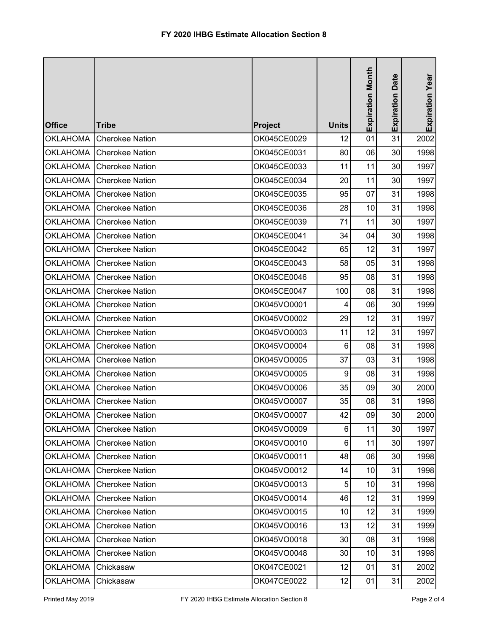| <b>Office</b>   | <b>Tribe</b>             | <b>Project</b> | <b>Units</b>   | Expiration Month | <b>Expiration Date</b> | Expiration Year |
|-----------------|--------------------------|----------------|----------------|------------------|------------------------|-----------------|
| <b>OKLAHOMA</b> | <b>Cherokee Nation</b>   | OK045CE0029    | 12             | 01               | 31                     | 2002            |
| <b>OKLAHOMA</b> | <b>Cherokee Nation</b>   | OK045CE0031    | 80             | 06               | 30                     | 1998            |
| <b>OKLAHOMA</b> | <b>Cherokee Nation</b>   | OK045CE0033    | 11             | 11               | 30                     | 1997            |
| <b>OKLAHOMA</b> | <b>Cherokee Nation</b>   | OK045CE0034    | 20             | 11               | 30                     | 1997            |
| <b>OKLAHOMA</b> | <b>Cherokee Nation</b>   | OK045CE0035    | 95             | 07               | 31                     | 1998            |
| <b>OKLAHOMA</b> | <b>Cherokee Nation</b>   | OK045CE0036    | 28             | 10               | 31                     | 1998            |
| <b>OKLAHOMA</b> | <b>Cherokee Nation</b>   | OK045CE0039    | 71             | 11               | 30                     | 1997            |
| <b>OKLAHOMA</b> | <b>Cherokee Nation</b>   | OK045CE0041    | 34             | 04               | 30                     | 1998            |
| <b>OKLAHOMA</b> | <b>Cherokee Nation</b>   | OK045CE0042    | 65             | 12               | 31                     | 1997            |
| <b>OKLAHOMA</b> | <b>Cherokee Nation</b>   | OK045CE0043    | 58             | 05               | 31                     | 1998            |
| <b>OKLAHOMA</b> | <b>Cherokee Nation</b>   | OK045CE0046    | 95             | 08               | 31                     | 1998            |
| <b>OKLAHOMA</b> | <b>Cherokee Nation</b>   | OK045CE0047    | 100            | 08               | 31                     | 1998            |
| <b>OKLAHOMA</b> | <b>Cherokee Nation</b>   | OK045VO0001    | 4              | 06               | 30                     | 1999            |
| <b>OKLAHOMA</b> | <b>Cherokee Nation</b>   | OK045VO0002    | 29             | 12               | 31                     | 1997            |
| <b>OKLAHOMA</b> | <b>Cherokee Nation</b>   | OK045VO0003    | 11             | 12               | 31                     | 1997            |
| <b>OKLAHOMA</b> | <b>Cherokee Nation</b>   | OK045VO0004    | 6              | 08               | 31                     | 1998            |
| <b>OKLAHOMA</b> | <b>Cherokee Nation</b>   | OK045VO0005    | 37             | 03               | 31                     | 1998            |
| <b>OKLAHOMA</b> | <b>Cherokee Nation</b>   | OK045VO0005    | 9              | 08               | 31                     | 1998            |
| <b>OKLAHOMA</b> | <b>Cherokee Nation</b>   | OK045VO0006    | 35             | 09               | 30                     | 2000            |
| <b>OKLAHOMA</b> | <b>Cherokee Nation</b>   | OK045VO0007    | 35             | 08               | 31                     | 1998            |
|                 | OKLAHOMA Cherokee Nation | OK045VO0007    | 42             | 09               | 30                     | 2000            |
| <b>OKLAHOMA</b> | <b>Cherokee Nation</b>   | OK045VO0009    | 6              | 11               | 30                     | 1997            |
| <b>OKLAHOMA</b> | <b>Cherokee Nation</b>   | OK045VO0010    | $6\phantom{1}$ | 11               | 30                     | 1997            |
| <b>OKLAHOMA</b> | <b>Cherokee Nation</b>   | OK045VO0011    | 48             | 06               | 30 <sub>0</sub>        | 1998            |
| <b>OKLAHOMA</b> | <b>Cherokee Nation</b>   | OK045VO0012    | 14             | 10               | 31                     | 1998            |
| <b>OKLAHOMA</b> | <b>Cherokee Nation</b>   | OK045VO0013    | 5              | 10               | 31                     | 1998            |
| <b>OKLAHOMA</b> | <b>Cherokee Nation</b>   | OK045VO0014    | 46             | 12               | 31                     | 1999            |
| <b>OKLAHOMA</b> | <b>Cherokee Nation</b>   | OK045VO0015    | 10             | 12               | 31                     | 1999            |
| <b>OKLAHOMA</b> | <b>Cherokee Nation</b>   | OK045VO0016    | 13             | 12               | 31                     | 1999            |
| <b>OKLAHOMA</b> | <b>Cherokee Nation</b>   | OK045VO0018    | 30             | 08               | 31                     | 1998            |
| <b>OKLAHOMA</b> | <b>Cherokee Nation</b>   | OK045VO0048    | 30             | 10               | 31                     | 1998            |
| <b>OKLAHOMA</b> | Chickasaw                | OK047CE0021    | 12             | 01               | 31                     | 2002            |
| <b>OKLAHOMA</b> | Chickasaw                | OK047CE0022    | 12             | 01               | 31                     | 2002            |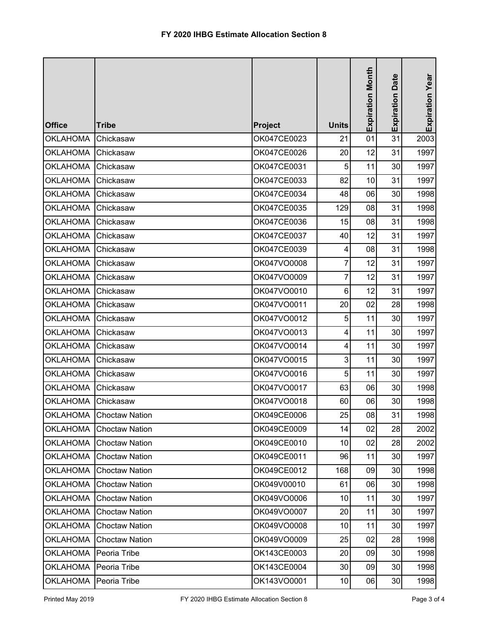| <b>Office</b>   | <b>Tribe</b>            | <b>Project</b> | <b>Units</b> | <b>Expiration Month</b> | <b>Expiration Date</b> | Expiration Year |
|-----------------|-------------------------|----------------|--------------|-------------------------|------------------------|-----------------|
| <b>OKLAHOMA</b> | Chickasaw               | OK047CE0023    | 21           | 01                      | 31                     | 2003            |
| <b>OKLAHOMA</b> | Chickasaw               | OK047CE0026    | 20           | 12                      | 31                     | 1997            |
| <b>OKLAHOMA</b> | Chickasaw               | OK047CE0031    | 5            | 11                      | 30 <sup>°</sup>        | 1997            |
| <b>OKLAHOMA</b> | Chickasaw               | OK047CE0033    | 82           | 10                      | 31                     | 1997            |
| <b>OKLAHOMA</b> | Chickasaw               | OK047CE0034    | 48           | 06                      | 30                     | 1998            |
| <b>OKLAHOMA</b> | Chickasaw               | OK047CE0035    | 129          | 08                      | 31                     | 1998            |
| <b>OKLAHOMA</b> | Chickasaw               | OK047CE0036    | 15           | 08                      | 31                     | 1998            |
| <b>OKLAHOMA</b> | Chickasaw               | OK047CE0037    | 40           | 12                      | 31                     | 1997            |
| <b>OKLAHOMA</b> | Chickasaw               | OK047CE0039    | 4            | 08                      | 31                     | 1998            |
| <b>OKLAHOMA</b> | Chickasaw               | OK047VO0008    | 7            | 12                      | 31                     | 1997            |
| <b>OKLAHOMA</b> | Chickasaw               | OK047VO0009    | 7            | 12                      | 31                     | 1997            |
| <b>OKLAHOMA</b> | Chickasaw               | OK047VO0010    | 6            | 12                      | 31                     | 1997            |
| <b>OKLAHOMA</b> | Chickasaw               | OK047VO0011    | 20           | 02                      | 28                     | 1998            |
| <b>OKLAHOMA</b> | Chickasaw               | OK047VO0012    | 5            | 11                      | 30                     | 1997            |
| <b>OKLAHOMA</b> | Chickasaw               | OK047VO0013    | 4            | 11                      | 30                     | 1997            |
| <b>OKLAHOMA</b> | Chickasaw               | OK047VO0014    | 4            | 11                      | 30                     | 1997            |
| <b>OKLAHOMA</b> | Chickasaw               | OK047VO0015    | 3            | 11                      | 30                     | 1997            |
| <b>OKLAHOMA</b> | Chickasaw               | OK047VO0016    | 5            | 11                      | 30                     | 1997            |
| <b>OKLAHOMA</b> | Chickasaw               | OK047VO0017    | 63           | 06                      | 30                     | 1998            |
| <b>OKLAHOMA</b> | Chickasaw               | OK047VO0018    | 60           | 06                      | 30                     | 1998            |
|                 | OKLAHOMA Choctaw Nation | OK049CE0006    | 25           | 08                      | 31                     | 1998            |
| <b>OKLAHOMA</b> | <b>Choctaw Nation</b>   | OK049CE0009    | 14           | 02                      | 28                     | 2002            |
| <b>OKLAHOMA</b> | <b>Choctaw Nation</b>   | OK049CE0010    | 10           | 02                      | 28                     | 2002            |
| <b>OKLAHOMA</b> | <b>Choctaw Nation</b>   | OK049CE0011    | 96           | 11                      | 30 <sub>0</sub>        | 1997            |
| <b>OKLAHOMA</b> | <b>Choctaw Nation</b>   | OK049CE0012    | 168          | 09                      | 30                     | 1998            |
| <b>OKLAHOMA</b> | <b>Choctaw Nation</b>   | OK049V00010    | 61           | 06                      | 30                     | 1998            |
| <b>OKLAHOMA</b> | <b>Choctaw Nation</b>   | OK049VO0006    | 10           | 11                      | 30                     | 1997            |
| <b>OKLAHOMA</b> | <b>Choctaw Nation</b>   | OK049VO0007    | 20           | 11                      | 30 <sub>0</sub>        | 1997            |
| <b>OKLAHOMA</b> | <b>Choctaw Nation</b>   | OK049VO0008    | 10           | 11                      | 30                     | 1997            |
| <b>OKLAHOMA</b> | <b>Choctaw Nation</b>   | OK049VO0009    | 25           | 02                      | 28                     | 1998            |
| <b>OKLAHOMA</b> | Peoria Tribe            | OK143CE0003    | 20           | 09                      | 30                     | 1998            |
| <b>OKLAHOMA</b> | Peoria Tribe            | OK143CE0004    | 30           | 09                      | 30                     | 1998            |
| <b>OKLAHOMA</b> | Peoria Tribe            | OK143VO0001    | 10           | 06                      | 30                     | 1998            |